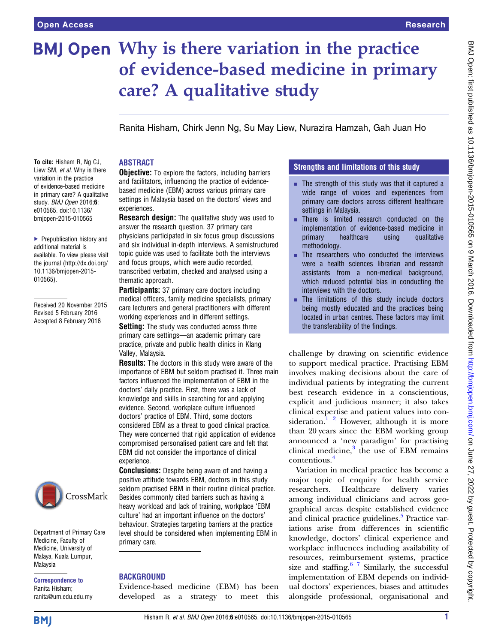# BMJ Open Why is there variation in the practice of evidence-based medicine in primary care? A qualitative study

Ranita Hisham, Chirk Jenn Ng, Su May Liew, Nurazira Hamzah, Gah Juan Ho

## ABSTRACT

To cite: Hisham R, Ng CJ, Liew SM, et al. Why is there variation in the practice of evidence-based medicine in primary care? A qualitative study. BMJ Open 2016:6: e010565. doi:10.1136/ bmjopen-2015-010565

▶ Prepublication history and additional material is available. To view please visit the journal [\(http://dx.doi.org/](http://dx.doi.org/10.1136/bmjopen-2015-010565) [10.1136/bmjopen-2015-](http://dx.doi.org/10.1136/bmjopen-2015-010565) [010565\)](http://dx.doi.org/10.1136/bmjopen-2015-010565).

Received 20 November 2015 Revised 5 February 2016 Accepted 8 February 2016



Department of Primary Care Medicine, Faculty of Medicine, University of Malaya, Kuala Lumpur, Malaysia

Correspondence to Ranita Hisham; ranita@um.edu.edu.my **Objective:** To explore the factors, including barriers and facilitators, influencing the practice of evidencebased medicine (EBM) across various primary care settings in Malaysia based on the doctors' views and experiences.

**Research design:** The qualitative study was used to answer the research question. 37 primary care physicians participated in six focus group discussions and six individual in-depth interviews. A semistructured topic guide was used to facilitate both the interviews and focus groups, which were audio recorded, transcribed verbatim, checked and analysed using a thematic approach.

Participants: 37 primary care doctors including medical officers, family medicine specialists, primary care lecturers and general practitioners with different working experiences and in different settings.

**Setting:** The study was conducted across three primary care settings—an academic primary care practice, private and public health clinics in Klang Valley, Malaysia.

**Results:** The doctors in this study were aware of the importance of EBM but seldom practised it. Three main factors influenced the implementation of EBM in the doctors' daily practice. First, there was a lack of knowledge and skills in searching for and applying evidence. Second, workplace culture influenced doctors' practice of EBM. Third, some doctors considered EBM as a threat to good clinical practice. They were concerned that rigid application of evidence compromised personalised patient care and felt that EBM did not consider the importance of clinical experience.

**Conclusions:** Despite being aware of and having a positive attitude towards EBM, doctors in this study seldom practised EBM in their routine clinical practice. Besides commonly cited barriers such as having a heavy workload and lack of training, workplace 'EBM culture' had an important influence on the doctors' behaviour. Strategies targeting barriers at the practice level should be considered when implementing EBM in primary care.

## BACKGROUND

Evidence-based medicine (EBM) has been developed as a strategy to meet this

## Strengths and limitations of this study

- $\blacksquare$  The strength of this study was that it captured a wide range of voices and experiences from primary care doctors across different healthcare settings in Malaysia.
- There is limited research conducted on the implementation of evidence-based medicine in primary healthcare using qualitative methodology.
- $\blacksquare$  The researchers who conducted the interviews were a health sciences librarian and research assistants from a non-medical background, which reduced potential bias in conducting the interviews with the doctors.
- $\blacksquare$  The limitations of this study include doctors being mostly educated and the practices being located in urban centres. These factors may limit the transferability of the findings.

challenge by drawing on scientific evidence to support medical practice. Practising EBM involves making decisions about the care of individual patients by integrating the current best research evidence in a conscientious, explicit and judicious manner; it also takes clinical expertise and patient values into consideration.<sup>1</sup> <sup>2</sup> However, although it is more than 20 years since the EBM working group announced a 'new paradigm' for practising clinical medicine, $3$  the use of EBM remains contentious.[4](#page-6-0)

Variation in medical practice has become a major topic of enquiry for health service researchers. Healthcare delivery varies among individual clinicians and across geographical areas despite established evidence and clinical practice guidelines.<sup>[5](#page-6-0)</sup> Practice variations arise from differences in scientific knowledge, doctors' clinical experience and workplace influences including availability of resources, reimbursement systems, practice size and staffing. $67$  Similarly, the successful implementation of EBM depends on individual doctors' experiences, biases and attitudes alongside professional, organisational and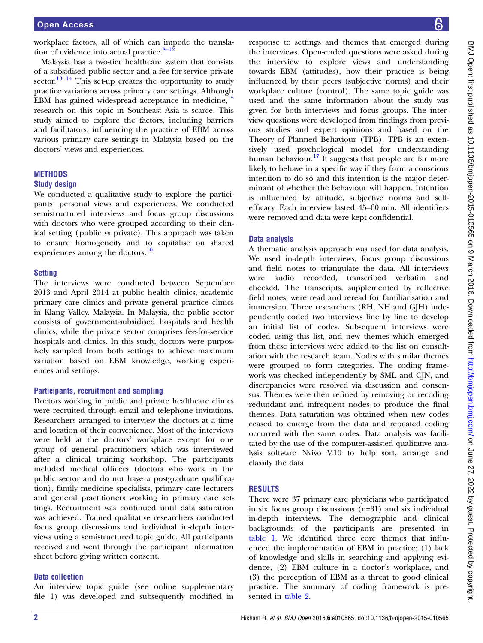workplace factors, all of which can impede the translation of evidence into actual practice. $8-12$  $8-12$ 

Malaysia has a two-tier healthcare system that consists of a subsidised public sector and a fee-for-service private sector.<sup>13 14</sup> This set-up creates the opportunity to study practice variations across primary care settings. Although EBM has gained widespread acceptance in medicine,  $15$ research on this topic in Southeast Asia is scarce. This study aimed to explore the factors, including barriers and facilitators, influencing the practice of EBM across various primary care settings in Malaysia based on the doctors' views and experiences.

#### **METHODS**

#### Study design

We conducted a qualitative study to explore the participants' personal views and experiences. We conducted semistructured interviews and focus group discussions with doctors who were grouped according to their clinical setting (public vs private). This approach was taken to ensure homogeneity and to capitalise on shared experiences among the doctors.[16](#page-7-0)

#### **Setting**

The interviews were conducted between September 2013 and April 2014 at public health clinics, academic primary care clinics and private general practice clinics in Klang Valley, Malaysia. In Malaysia, the public sector consists of government-subsidised hospitals and health clinics, while the private sector comprises fee-for-service hospitals and clinics. In this study, doctors were purposively sampled from both settings to achieve maximum variation based on EBM knowledge, working experiences and settings.

#### Participants, recruitment and sampling

Doctors working in public and private healthcare clinics were recruited through email and telephone invitations. Researchers arranged to interview the doctors at a time and location of their convenience. Most of the interviews were held at the doctors' workplace except for one group of general practitioners which was interviewed after a clinical training workshop. The participants included medical officers (doctors who work in the public sector and do not have a postgraduate qualification), family medicine specialists, primary care lecturers and general practitioners working in primary care settings. Recruitment was continued until data saturation was achieved. Trained qualitative researchers conducted focus group discussions and individual in-depth interviews using a semistructured topic guide. All participants received and went through the participant information sheet before giving written consent.

#### Data collection

An interview topic guide (see online supplementary file 1) was developed and subsequently modified in

response to settings and themes that emerged during the interviews. Open-ended questions were asked during the interview to explore views and understanding towards EBM (attitudes), how their practice is being influenced by their peers (subjective norms) and their workplace culture (control). The same topic guide was used and the same information about the study was given for both interviews and focus groups. The interview questions were developed from findings from previous studies and expert opinions and based on the Theory of Planned Behaviour (TPB). TPB is an extensively used psychological model for understanding human behaviour.<sup>17</sup> It suggests that people are far more likely to behave in a specific way if they form a conscious intention to do so and this intention is the major determinant of whether the behaviour will happen. Intention is influenced by attitude, subjective norms and selfefficacy. Each interview lasted 45–60 min. All identifiers were removed and data were kept confidential.

#### Data analysis

A thematic analysis approach was used for data analysis. We used in-depth interviews, focus group discussions and field notes to triangulate the data. All interviews were audio recorded, transcribed verbatim and checked. The transcripts, supplemented by reflective field notes, were read and reread for familiarisation and immersion. Three researchers (RH, NH and GJH) independently coded two interviews line by line to develop an initial list of codes. Subsequent interviews were coded using this list, and new themes which emerged from these interviews were added to the list on consultation with the research team. Nodes with similar themes were grouped to form categories. The coding framework was checked independently by SML and CJN, and discrepancies were resolved via discussion and consensus. Themes were then refined by removing or recoding redundant and infrequent nodes to produce the final themes. Data saturation was obtained when new codes ceased to emerge from the data and repeated coding occurred with the same codes. Data analysis was facilitated by the use of the computer-assisted qualitative analysis software Nvivo V.10 to help sort, arrange and classify the data.

#### RESULTS

There were 37 primary care physicians who participated in six focus group discussions (n=31) and six individual in-depth interviews. The demographic and clinical backgrounds of the participants are presented in [table 1](#page-2-0). We identified three core themes that influenced the implementation of EBM in practice: (1) lack of knowledge and skills in searching and applying evidence, (2) EBM culture in a doctor's workplace, and (3) the perception of EBM as a threat to good clinical practice. The summary of coding framework is presented in [table 2.](#page-2-0)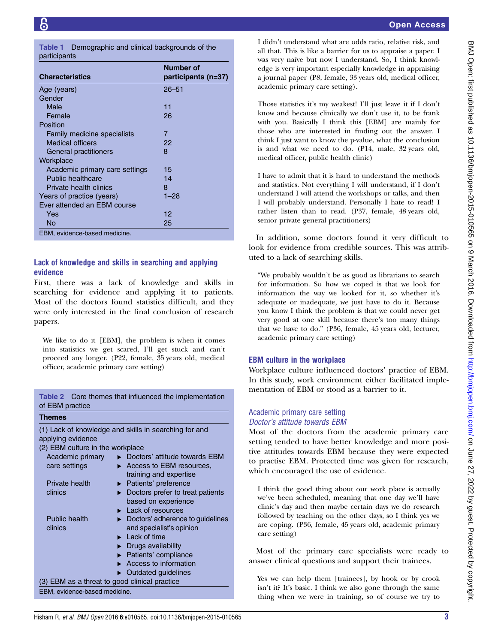<span id="page-2-0"></span>

Table 1 Demographic and clinical backgrounds of the participants

| <b>Characteristics</b>         | Number of<br>participants (n=37) |
|--------------------------------|----------------------------------|
| Age (years)                    | $26 - 51$                        |
| Gender                         |                                  |
| Male                           | 11                               |
| Female                         | 26                               |
| Position                       |                                  |
| Family medicine specialists    | 7                                |
| <b>Medical officers</b>        | 22                               |
| General practitioners          | 8                                |
| Workplace                      |                                  |
| Academic primary care settings | 15                               |
| Public healthcare              | 14                               |
| Private health clinics         | 8                                |
| Years of practice (years)      | 1–28                             |
| Ever attended an FBM course    |                                  |
| Yes                            | 12                               |
| No                             | 25                               |
| EBM, evidence-based medicine.  |                                  |

# Lack of knowledge and skills in searching and applying evidence

First, there was a lack of knowledge and skills in searching for evidence and applying it to patients. Most of the doctors found statistics difficult, and they were only interested in the final conclusion of research papers.

We like to do it [EBM], the problem is when it comes into statistics we get scared, I'll get stuck and can't proceed any longer. (P22, female, 35 years old, medical officer, academic primary care setting)

#### Table 2 Core themes that influenced the implementation of EBM practice

#### Themes

(1) Lack of knowledge and skills in searching for and applying evidence (2) EBM culture in the workplace Academic primary care settings ▶ Doctors' attitude towards EBM ▶ Access to EBM resources, training and expertise Private health clinics ▸ Patients' preference ▸ Doctors prefer to treat patients based on experience **Lack of resources** Public health clinics ▸ Doctors' adherence to guidelines and specialist's opinion ► Lack of time ▸ Drugs availability Patients' compliance Access to information ▸ Outdated guidelines (3) EBM as a threat to good clinical practice EBM, evidence-based medicine.

I didn't understand what are odds ratio, relative risk, and all that. This is like a barrier for us to appraise a paper. I was very naïve but now I understand. So, I think knowledge is very important especially knowledge in appraising a journal paper (P8, female, 33 years old, medical officer, academic primary care setting).

Those statistics it's my weakest! I'll just leave it if I don't know and because clinically we don't use it, to be frank with you. Basically I think this [EBM] are mainly for those who are interested in finding out the answer. I think I just want to know the p-value, what the conclusion is and what we need to do. (P14, male, 32 years old, medical officer, public health clinic)

I have to admit that it is hard to understand the methods and statistics. Not everything I will understand, if I don't understand I will attend the workshops or talks, and then I will probably understand. Personally I hate to read! I rather listen than to read. (P37, female, 48 years old, senior private general practitioners)

In addition, some doctors found it very difficult to look for evidence from credible sources. This was attributed to a lack of searching skills.

"We probably wouldn't be as good as librarians to search for information. So how we coped is that we look for information the way we looked for it, so whether it's adequate or inadequate, we just have to do it. Because you know I think the problem is that we could never get very good at one skill because there's too many things that we have to do." (P36, female, 45 years old, lecturer, academic primary care setting)

## EBM culture in the workplace

Workplace culture influenced doctors' practice of EBM. In this study, work environment either facilitated implementation of EBM or stood as a barrier to it.

## Academic primary care setting Doctor's attitude towards EBM

Most of the doctors from the academic primary care setting tended to have better knowledge and more positive attitudes towards EBM because they were expected to practise EBM. Protected time was given for research, which encouraged the use of evidence.

I think the good thing about our work place is actually we've been scheduled, meaning that one day we'll have clinic's day and then maybe certain days we do research followed by teaching on the other days, so I think yes we are coping. (P36, female, 45 years old, academic primary care setting)

Most of the primary care specialists were ready to answer clinical questions and support their trainees.

Yes we can help them [trainees], by hook or by crook isn't it? It's basic. I think we also gone through the same thing when we were in training, so of course we try to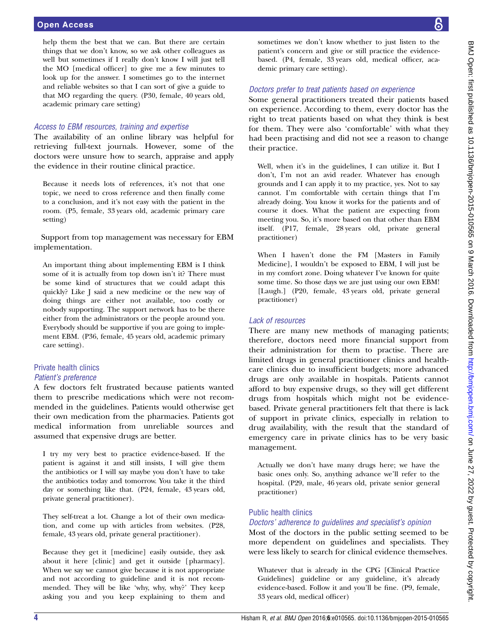help them the best that we can. But there are certain things that we don't know, so we ask other colleagues as well but sometimes if I really don't know I will just tell the MO [medical officer] to give me a few minutes to look up for the answer. I sometimes go to the internet and reliable websites so that I can sort of give a guide to that MO regarding the query. (P30, female, 40 years old, academic primary care setting)

#### Access to EBM resources, training and expertise

The availability of an online library was helpful for retrieving full-text journals. However, some of the doctors were unsure how to search, appraise and apply the evidence in their routine clinical practice.

Because it needs lots of references, it's not that one topic, we need to cross reference and then finally come to a conclusion, and it's not easy with the patient in the room. (P5, female, 33 years old, academic primary care setting)

Support from top management was necessary for EBM implementation.

An important thing about implementing EBM is I think some of it is actually from top down isn't it? There must be some kind of structures that we could adapt this quickly? Like J said a new medicine or the new way of doing things are either not available, too costly or nobody supporting. The support network has to be there either from the administrators or the people around you. Everybody should be supportive if you are going to implement EBM. (P36, female, 45 years old, academic primary care setting).

## Private health clinics Patient's preference

A few doctors felt frustrated because patients wanted them to prescribe medications which were not recommended in the guidelines. Patients would otherwise get their own medication from the pharmacies. Patients got medical information from unreliable sources and assumed that expensive drugs are better.

I try my very best to practice evidence-based. If the patient is against it and still insists, I will give them the antibiotics or I will say maybe you don't have to take the antibiotics today and tomorrow. You take it the third day or something like that. (P24, female, 43 years old, private general practitioner).

They self-treat a lot. Change a lot of their own medication, and come up with articles from websites. (P28, female, 43 years old, private general practitioner).

Because they get it [medicine] easily outside, they ask about it here [clinic] and get it outside [pharmacy]. When we say we cannot give because it is not appropriate and not according to guideline and it is not recommended. They will be like 'why, why, why?' They keep asking you and you keep explaining to them and sometimes we don't know whether to just listen to the patient's concern and give or still practice the evidencebased. (P4, female, 33 years old, medical officer, academic primary care setting).

## Doctors prefer to treat patients based on experience

Some general practitioners treated their patients based on experience. According to them, every doctor has the right to treat patients based on what they think is best for them. They were also 'comfortable' with what they had been practising and did not see a reason to change their practice.

Well, when it's in the guidelines, I can utilize it. But I don't, I'm not an avid reader. Whatever has enough grounds and I can apply it to my practice, yes. Not to say cannot. I'm comfortable with certain things that I'm already doing. You know it works for the patients and of course it does. What the patient are expecting from meeting you. So, it's more based on that other than EBM itself. (P17, female, 28 years old, private general practitioner)

When I haven't done the FM [Masters in Family Medicine], I wouldn't be exposed to EBM, I will just be in my comfort zone. Doing whatever I've known for quite some time. So those days we are just using our own EBM! [Laugh.] (P20, female, 43 years old, private general practitioner)

## Lack of resources

There are many new methods of managing patients; therefore, doctors need more financial support from their administration for them to practise. There are limited drugs in general practitioner clinics and healthcare clinics due to insufficient budgets; more advanced drugs are only available in hospitals. Patients cannot afford to buy expensive drugs, so they will get different drugs from hospitals which might not be evidencebased. Private general practitioners felt that there is lack of support in private clinics, especially in relation to drug availability, with the result that the standard of emergency care in private clinics has to be very basic management.

Actually we don't have many drugs here; we have the basic ones only. So, anything advance we'll refer to the hospital. (P29, male, 46 years old, private senior general practitioner)

## Public health clinics

## Doctors' adherence to guidelines and specialist's opinion

Most of the doctors in the public setting seemed to be more dependent on guidelines and specialists. They were less likely to search for clinical evidence themselves.

Whatever that is already in the CPG [Clinical Practice Guidelines] guideline or any guideline, it's already evidence-based. Follow it and you'll be fine. (P9, female, 33 years old, medical officer)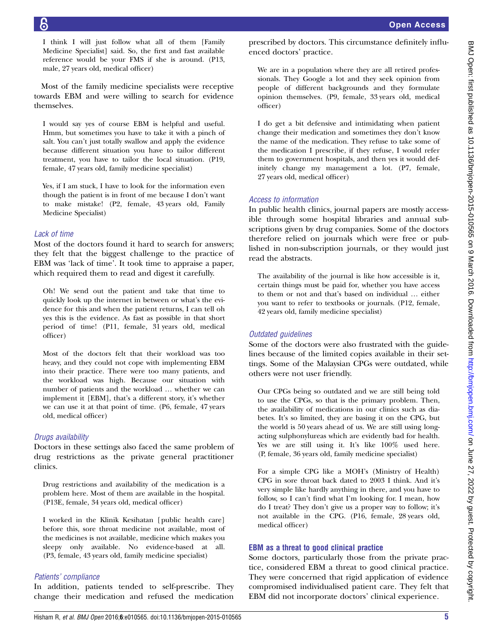I think I will just follow what all of them [Family Medicine Specialist] said. So, the first and fast available reference would be your FMS if she is around. (P13, male, 27 years old, medical officer)

Most of the family medicine specialists were receptive towards EBM and were willing to search for evidence themselves.

I would say yes of course EBM is helpful and useful. Hmm, but sometimes you have to take it with a pinch of salt. You can't just totally swallow and apply the evidence because different situation you have to tailor different treatment, you have to tailor the local situation. (P19, female, 47 years old, family medicine specialist)

Yes, if I am stuck, I have to look for the information even though the patient is in front of me because I don't want to make mistake! (P2, female, 43 years old, Family Medicine Specialist)

#### Lack of time

Most of the doctors found it hard to search for answers; they felt that the biggest challenge to the practice of EBM was 'lack of time'. It took time to appraise a paper, which required them to read and digest it carefully.

Oh! We send out the patient and take that time to quickly look up the internet in between or what's the evidence for this and when the patient returns, I can tell oh yes this is the evidence. As fast as possible in that short period of time! (P11, female, 31 years old, medical officer)

Most of the doctors felt that their workload was too heavy, and they could not cope with implementing EBM into their practice. There were too many patients, and the workload was high. Because our situation with number of patients and the workload … whether we can implement it [EBM], that's a different story, it's whether we can use it at that point of time. (P6, female, 47 years old, medical officer)

## Drugs availability

Doctors in these settings also faced the same problem of drug restrictions as the private general practitioner clinics.

Drug restrictions and availability of the medication is a problem here. Most of them are available in the hospital. (P13E, female, 34 years old, medical officer)

I worked in the Klinik Kesihatan [public health care] before this, sore throat medicine not available, most of the medicines is not available, medicine which makes you sleepy only available. No evidence-based at all. (P3, female, 43 years old, family medicine specialist)

#### Patients' compliance

In addition, patients tended to self-prescribe. They change their medication and refused the medication prescribed by doctors. This circumstance definitely influenced doctors' practice.

We are in a population where they are all retired professionals. They Google a lot and they seek opinion from people of different backgrounds and they formulate opinion themselves. (P9, female, 33 years old, medical officer)

I do get a bit defensive and intimidating when patient change their medication and sometimes they don't know the name of the medication. They refuse to take some of the medication I prescribe, if they refuse, I would refer them to government hospitals, and then yes it would definitely change my management a lot. (P7, female, 27 years old, medical officer)

## Access to information

In public health clinics, journal papers are mostly accessible through some hospital libraries and annual subscriptions given by drug companies. Some of the doctors therefore relied on journals which were free or published in non-subscription journals, or they would just read the abstracts.

The availability of the journal is like how accessible is it, certain things must be paid for, whether you have access to them or not and that's based on individual … either you want to refer to textbooks or journals. (P12, female, 42 years old, family medicine specialist)

## Outdated *guidelines*

Some of the doctors were also frustrated with the guidelines because of the limited copies available in their settings. Some of the Malaysian CPGs were outdated, while others were not user friendly.

Our CPGs being so outdated and we are still being told to use the CPGs, so that is the primary problem. Then, the availability of medications in our clinics such as diabetes. It's so limited, they are basing it on the CPG, but the world is 50 years ahead of us. We are still using longacting sulphonylureas which are evidently bad for health. Yes we are still using it. It's like 100% used here. (P, female, 36 years old, family medicine specialist)

For a simple CPG like a MOH's (Ministry of Health) CPG in sore throat back dated to 2003 I think. And it's very simple like hardly anything in there, and you have to follow, so I can't find what I'm looking for. I mean, how do I treat? They don't give us a proper way to follow; it's not available in the CPG. (P16, female, 28 years old, medical officer)

## EBM as a threat to good clinical practice

Some doctors, particularly those from the private practice, considered EBM a threat to good clinical practice. They were concerned that rigid application of evidence compromised individualised patient care. They felt that EBM did not incorporate doctors' clinical experience.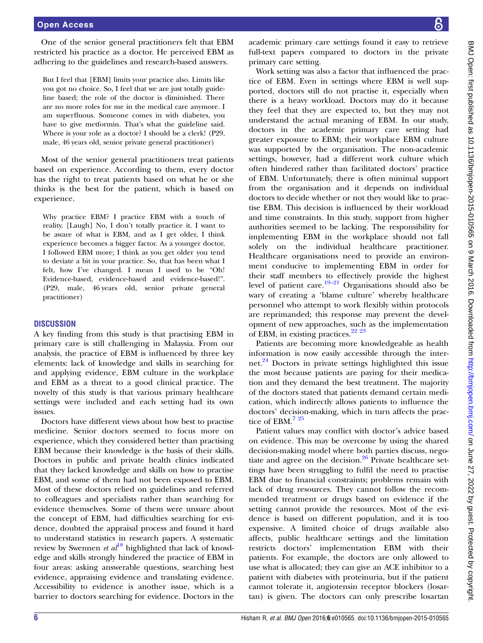One of the senior general practitioners felt that EBM restricted his practice as a doctor. He perceived EBM as adhering to the guidelines and research-based answers.

But I feel that [EBM] limits your practice also. Limits like you got no choice. So, I feel that we are just totally guideline based; the role of the doctor is diminished. There are no more roles for me in the medical care anymore. I am superfluous. Someone comes in with diabetes, you have to give metformin. That's what the guideline said. Where is your role as a doctor? I should be a clerk! (P29, male, 46 years old, senior private general practitioner)

Most of the senior general practitioners treat patients based on experience. According to them, every doctor has the right to treat patients based on what he or she thinks is the best for the patient, which is based on experience.

Why practice EBM? I practice EBM with a touch of reality. [Laugh] No, I don't totally practice it. I want to be aware of what is EBM, and as I get older, I think experience becomes a bigger factor. As a younger doctor, I followed EBM more; I think as you get older you tend to deviate a bit in your practice. So, that has been what I felt, how I've changed. I mean I used to be "Oh! Evidence-based, evidence-based and evidence-based!". (P29, male, 46 years old, senior private general practitioner)

#### **DISCUSSION**

A key finding from this study is that practising EBM in primary care is still challenging in Malaysia. From our analysis, the practice of EBM is influenced by three key elements: lack of knowledge and skills in searching for and applying evidence, EBM culture in the workplace and EBM as a threat to a good clinical practice. The novelty of this study is that various primary healthcare settings were included and each setting had its own issues.

Doctors have different views about how best to practise medicine. Senior doctors seemed to focus more on experience, which they considered better than practising EBM because their knowledge is the basis of their skills. Doctors in public and private health clinics indicated that they lacked knowledge and skills on how to practise EBM, and some of them had not been exposed to EBM. Most of these doctors relied on guidelines and referred to colleagues and specialists rather than searching for evidence themselves. Some of them were unsure about the concept of EBM, had difficulties searching for evidence, doubted the appraisal process and found it hard to understand statistics in research papers. A systematic review by Swennen et  $al^{18}$  $al^{18}$  $al^{18}$  highlighted that lack of knowledge and skills strongly hindered the practice of EBM in four areas: asking answerable questions, searching best evidence, appraising evidence and translating evidence. Accessibility to evidence is another issue, which is a barrier to doctors searching for evidence. Doctors in the

academic primary care settings found it easy to retrieve full-text papers compared to doctors in the private primary care setting.

Work setting was also a factor that influenced the practice of EBM. Even in settings where EBM is well supported, doctors still do not practise it, especially when there is a heavy workload. Doctors may do it because they feel that they are expected to, but they may not understand the actual meaning of EBM. In our study, doctors in the academic primary care setting had greater exposure to EBM; their workplace EBM culture was supported by the organisation. The non-academic settings, however, had a different work culture which often hindered rather than facilitated doctors' practice of EBM. Unfortunately, there is often minimal support from the organisation and it depends on individual doctors to decide whether or not they would like to practise EBM. This decision is influenced by their workload and time constraints. In this study, support from higher authorities seemed to be lacking. The responsibility for implementing EBM in the workplace should not fall solely on the individual healthcare practitioner. Healthcare organisations need to provide an environment conducive to implementing EBM in order for their staff members to effectively provide the highest level of patient care.<sup>19–[21](#page-7-0)</sup> Organisations should also be wary of creating a 'blame culture' whereby healthcare personnel who attempt to work flexibly within protocols are reprimanded; this response may prevent the development of new approaches, such as the implementation of EBM, in existing practices.<sup>[22 23](#page-7-0)</sup>

Patients are becoming more knowledgeable as health information is now easily accessible through the internet.<sup>24</sup> Doctors in private settings highlighted this issue the most because patients are paying for their medication and they demand the best treatment. The majority of the doctors stated that patients demand certain medication, which indirectly allows patients to influence the doctors' decision-making, which in turn affects the prac-tice of EBM.<sup>[7 25](#page-7-0)</sup>

Patient values may conflict with doctor's advice based on evidence. This may be overcome by using the shared decision-making model where both parties discuss, negotiate and agree on the decision. $26$  Private healthcare settings have been struggling to fulfil the need to practise EBM due to financial constraints; problems remain with lack of drug resources. They cannot follow the recommended treatment or drugs based on evidence if the setting cannot provide the resources. Most of the evidence is based on different population, and it is too expensive. A limited choice of drugs available also affects, public healthcare settings and the limitation restricts doctors' implementation EBM with their patients. For example, the doctors are only allowed to use what is allocated; they can give an ACE inhibitor to a patient with diabetes with proteinuria, but if the patient cannot tolerate it, angiotensin receptor blockers (losartan) is given. The doctors can only prescribe losartan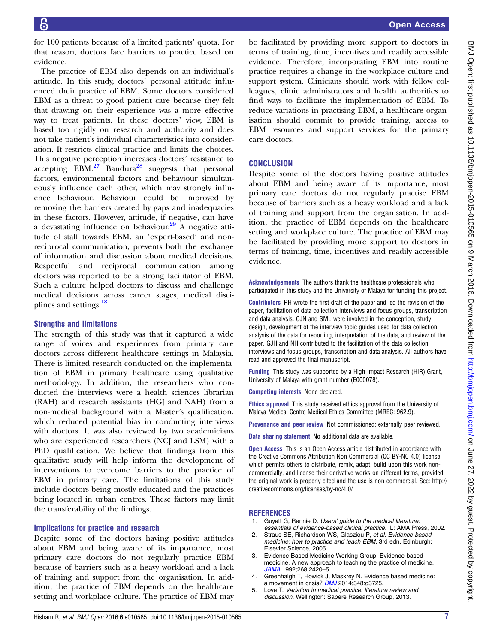<span id="page-6-0"></span>for 100 patients because of a limited patients' quota. For that reason, doctors face barriers to practice based on evidence.

The practice of EBM also depends on an individual's attitude. In this study, doctors' personal attitude influenced their practice of EBM. Some doctors considered EBM as a threat to good patient care because they felt that drawing on their experience was a more effective way to treat patients. In these doctors' view, EBM is based too rigidly on research and authority and does not take patient's individual characteristics into consideration. It restricts clinical practice and limits the choices. This negative perception increases doctors' resistance to accepting  $\text{EBM}^{27}$  $\text{EBM}^{27}$  $\text{EBM}^{27}$  Bandura<sup>[28](#page-7-0)</sup> suggests that personal factors, environmental factors and behaviour simultaneously influence each other, which may strongly influence behaviour. Behaviour could be improved by removing the barriers created by gaps and inadequacies in these factors. However, attitude, if negative, can have a devastating influence on behaviour.<sup>29</sup> A negative attitude of staff towards EBM, an 'expert-based' and nonreciprocal communication, prevents both the exchange of information and discussion about medical decisions. Respectful and reciprocal communication among doctors was reported to be a strong facilitator of EBM. Such a culture helped doctors to discuss and challenge medical decisions across career stages, medical disci-plines and settings.<sup>[18](#page-7-0)</sup>

#### Strengths and limitations

The strength of this study was that it captured a wide range of voices and experiences from primary care doctors across different healthcare settings in Malaysia. There is limited research conducted on the implementation of EBM in primary healthcare using qualitative methodology. In addition, the researchers who conducted the interviews were a health sciences librarian (RAH) and research assistants (HGJ and NAH) from a non-medical background with a Master's qualification, which reduced potential bias in conducting interviews with doctors. It was also reviewed by two academicians who are experienced researchers (NCJ and LSM) with a PhD qualification. We believe that findings from this qualitative study will help inform the development of interventions to overcome barriers to the practice of EBM in primary care. The limitations of this study include doctors being mostly educated and the practices being located in urban centres. These factors may limit the transferability of the findings.

#### Implications for practice and research

Despite some of the doctors having positive attitudes about EBM and being aware of its importance, most primary care doctors do not regularly practice EBM because of barriers such as a heavy workload and a lack of training and support from the organisation. In addition, the practice of EBM depends on the healthcare setting and workplace culture. The practice of EBM may

be facilitated by providing more support to doctors in terms of training, time, incentives and readily accessible evidence. Therefore, incorporating EBM into routine practice requires a change in the workplace culture and support system. Clinicians should work with fellow colleagues, clinic administrators and health authorities to find ways to facilitate the implementation of EBM. To reduce variations in practising EBM, a healthcare organisation should commit to provide training, access to EBM resources and support services for the primary care doctors.

#### **CONCLUSION**

Despite some of the doctors having positive attitudes about EBM and being aware of its importance, most primary care doctors do not regularly practise EBM because of barriers such as a heavy workload and a lack of training and support from the organisation. In addition, the practice of EBM depends on the healthcare setting and workplace culture. The practice of EBM may be facilitated by providing more support to doctors in terms of training, time, incentives and readily accessible evidence.

Acknowledgements The authors thank the healthcare professionals who participated in this study and the University of Malaya for funding this project.

Contributors RH wrote the first draft of the paper and led the revision of the paper, facilitation of data collection interviews and focus groups, transcription and data analysis. CJN and SML were involved in the conception, study design, development of the interview topic guides used for data collection, analysis of the data for reporting, interpretation of the data, and review of the paper. GJH and NH contributed to the facilitation of the data collection interviews and focus groups, transcription and data analysis. All authors have read and approved the final manuscript.

Funding This study was supported by a High Impact Research (HIR) Grant, University of Malaya with grant number (E000078).

Competing interests None declared.

Ethics approval This study received ethics approval from the University of Malaya Medical Centre Medical Ethics Committee (MREC: 962.9).

Provenance and peer review Not commissioned; externally peer reviewed.

Data sharing statement No additional data are available.

**Open Access** This is an Open Access article distributed in accordance with the Creative Commons Attribution Non Commercial (CC BY-NC 4.0) license, which permits others to distribute, remix, adapt, build upon this work noncommercially, and license their derivative works on different terms, provided the original work is properly cited and the use is non-commercial. See: [http://](http://creativecommons.org/licenses/by-nc/4.0/) [creativecommons.org/licenses/by-nc/4.0/](http://creativecommons.org/licenses/by-nc/4.0/)

#### REFERENCES

- 1. Guyatt G, Rennie D. Users' guide to the medical literature:
- essentials of evidence-based clinical practice. IL: AMA Press, 2002. Straus SE, Richardson WS, Glasziou P, et al. Evidence-based
- medicine: how to practice and teach EBM. 3rd edn. Edinburgh: Elsevier Science, 2005. 3. Evidence-Based Medicine Working Group. Evidence-based
- medicine. A new approach to teaching the practice of medicine. [JAMA](http://dx.doi.org/10.1001/jama.1992.03490170092032) 1992;268:2420–5.
- 4. Greenhalgh T, Howick J, Maskrey N. Evidence based medicine: a movement in crisis? [BMJ](http://dx.doi.org/10.1136/bmj.g3725) 2014;348:g3725.
- 5. Love T. Variation in medical practice: literature review and discussion. Wellington: Sapere Research Group, 2013.